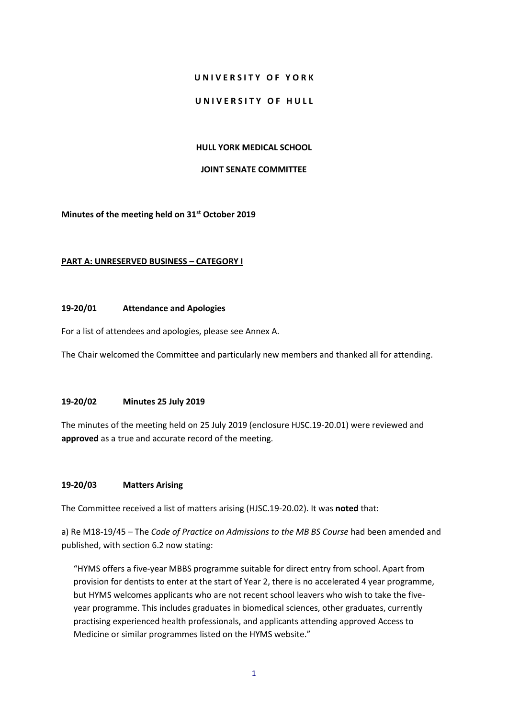### **U N I V E R S I T Y O F Y O R K**

#### **UNIVERSITY OF HULL**

#### **HULL YORK MEDICAL SCHOOL**

#### **JOINT SENATE COMMITTEE**

**Minutes of the meeting held on 31st October 2019**

#### **PART A: UNRESERVED BUSINESS – CATEGORY I**

#### **19-20/01 Attendance and Apologies**

For a list of attendees and apologies, please see Annex A.

The Chair welcomed the Committee and particularly new members and thanked all for attending.

## **19-20/02 Minutes 25 July 2019**

The minutes of the meeting held on 25 July 2019 (enclosure HJSC.19-20.01) were reviewed and **approved** as a true and accurate record of the meeting.

## **19-20/03 Matters Arising**

The Committee received a list of matters arising (HJSC.19-20.02). It was **noted** that:

a) Re M18-19/45 *–* The *Code of Practice on Admissions to the MB BS Course* had been amended and published, with section 6.2 now stating:

"HYMS offers a five-year MBBS programme suitable for direct entry from school. Apart from provision for dentists to enter at the start of Year 2, there is no accelerated 4 year programme, but HYMS welcomes applicants who are not recent school leavers who wish to take the fiveyear programme. This includes graduates in biomedical sciences, other graduates, currently practising experienced health professionals, and applicants attending approved Access to Medicine or similar programmes listed on the HYMS website."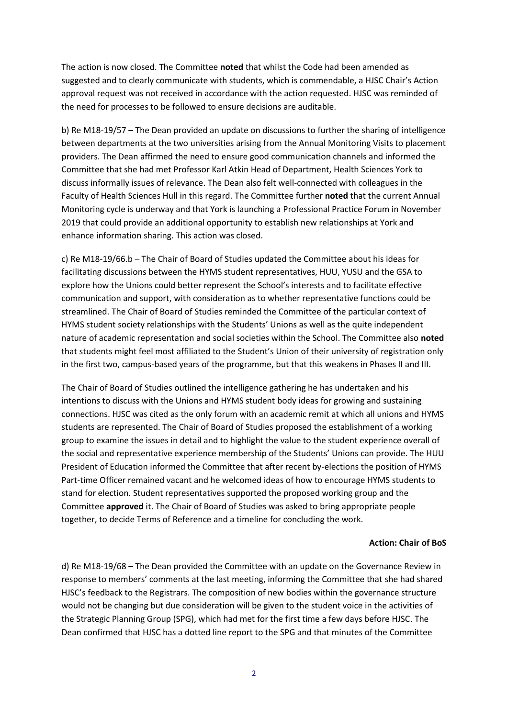The action is now closed. The Committee **noted** that whilst the Code had been amended as suggested and to clearly communicate with students, which is commendable, a HJSC Chair's Action approval request was not received in accordance with the action requested. HJSC was reminded of the need for processes to be followed to ensure decisions are auditable.

b) Re M18-19/57 – The Dean provided an update on discussions to further the sharing of intelligence between departments at the two universities arising from the Annual Monitoring Visits to placement providers. The Dean affirmed the need to ensure good communication channels and informed the Committee that she had met Professor Karl Atkin Head of Department, Health Sciences York to discuss informally issues of relevance. The Dean also felt well-connected with colleagues in the Faculty of Health Sciences Hull in this regard. The Committee further **noted** that the current Annual Monitoring cycle is underway and that York is launching a Professional Practice Forum in November 2019 that could provide an additional opportunity to establish new relationships at York and enhance information sharing. This action was closed.

c) Re M18-19/66.b – The Chair of Board of Studies updated the Committee about his ideas for facilitating discussions between the HYMS student representatives, HUU, YUSU and the GSA to explore how the Unions could better represent the School's interests and to facilitate effective communication and support, with consideration as to whether representative functions could be streamlined. The Chair of Board of Studies reminded the Committee of the particular context of HYMS student society relationships with the Students' Unions as well as the quite independent nature of academic representation and social societies within the School. The Committee also **noted**  that students might feel most affiliated to the Student's Union of their university of registration only in the first two, campus-based years of the programme, but that this weakens in Phases II and III.

The Chair of Board of Studies outlined the intelligence gathering he has undertaken and his intentions to discuss with the Unions and HYMS student body ideas for growing and sustaining connections. HJSC was cited as the only forum with an academic remit at which all unions and HYMS students are represented. The Chair of Board of Studies proposed the establishment of a working group to examine the issues in detail and to highlight the value to the student experience overall of the social and representative experience membership of the Students' Unions can provide. The HUU President of Education informed the Committee that after recent by-elections the position of HYMS Part-time Officer remained vacant and he welcomed ideas of how to encourage HYMS students to stand for election. Student representatives supported the proposed working group and the Committee **approved** it. The Chair of Board of Studies was asked to bring appropriate people together, to decide Terms of Reference and a timeline for concluding the work.

#### **Action: Chair of BoS**

d) Re M18-19/68 – The Dean provided the Committee with an update on the Governance Review in response to members' comments at the last meeting, informing the Committee that she had shared HJSC's feedback to the Registrars. The composition of new bodies within the governance structure would not be changing but due consideration will be given to the student voice in the activities of the Strategic Planning Group (SPG), which had met for the first time a few days before HJSC. The Dean confirmed that HJSC has a dotted line report to the SPG and that minutes of the Committee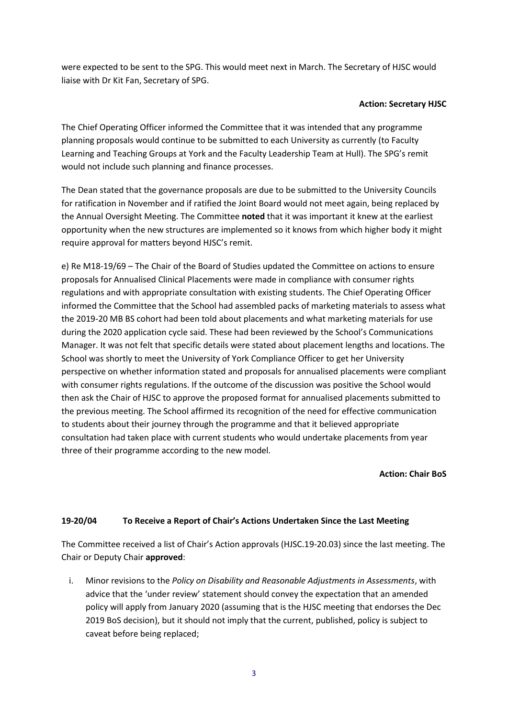were expected to be sent to the SPG. This would meet next in March. The Secretary of HJSC would liaise with Dr Kit Fan, Secretary of SPG.

## **Action: Secretary HJSC**

The Chief Operating Officer informed the Committee that it was intended that any programme planning proposals would continue to be submitted to each University as currently (to Faculty Learning and Teaching Groups at York and the Faculty Leadership Team at Hull). The SPG's remit would not include such planning and finance processes.

The Dean stated that the governance proposals are due to be submitted to the University Councils for ratification in November and if ratified the Joint Board would not meet again, being replaced by the Annual Oversight Meeting. The Committee **noted** that it was important it knew at the earliest opportunity when the new structures are implemented so it knows from which higher body it might require approval for matters beyond HJSC's remit.

e) Re M18-19/69 – The Chair of the Board of Studies updated the Committee on actions to ensure proposals for Annualised Clinical Placements were made in compliance with consumer rights regulations and with appropriate consultation with existing students. The Chief Operating Officer informed the Committee that the School had assembled packs of marketing materials to assess what the 2019-20 MB BS cohort had been told about placements and what marketing materials for use during the 2020 application cycle said. These had been reviewed by the School's Communications Manager. It was not felt that specific details were stated about placement lengths and locations. The School was shortly to meet the University of York Compliance Officer to get her University perspective on whether information stated and proposals for annualised placements were compliant with consumer rights regulations. If the outcome of the discussion was positive the School would then ask the Chair of HJSC to approve the proposed format for annualised placements submitted to the previous meeting. The School affirmed its recognition of the need for effective communication to students about their journey through the programme and that it believed appropriate consultation had taken place with current students who would undertake placements from year three of their programme according to the new model.

## **Action: Chair BoS**

# **19-20/04 To Receive a Report of Chair's Actions Undertaken Since the Last Meeting**

The Committee received a list of Chair's Action approvals (HJSC.19-20.03) since the last meeting. The Chair or Deputy Chair **approved**:

i. Minor revisions to the *Policy on Disability and Reasonable Adjustments in Assessments*, with advice that the 'under review' statement should convey the expectation that an amended policy will apply from January 2020 (assuming that is the HJSC meeting that endorses the Dec 2019 BoS decision), but it should not imply that the current, published, policy is subject to caveat before being replaced;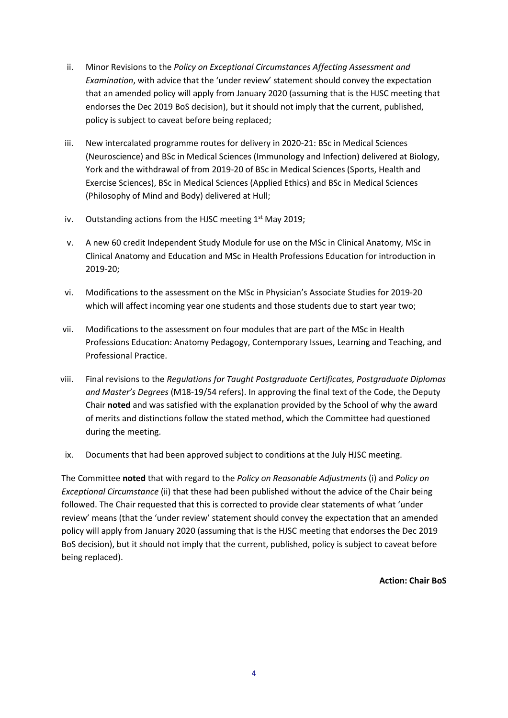- ii. Minor Revisions to the *Policy on Exceptional Circumstances Affecting Assessment and Examination*, with advice that the 'under review' statement should convey the expectation that an amended policy will apply from January 2020 (assuming that is the HJSC meeting that endorses the Dec 2019 BoS decision), but it should not imply that the current, published, policy is subject to caveat before being replaced;
- iii. New intercalated programme routes for delivery in 2020-21: BSc in Medical Sciences (Neuroscience) and BSc in Medical Sciences (Immunology and Infection) delivered at Biology, York and the withdrawal of from 2019-20 of BSc in Medical Sciences (Sports, Health and Exercise Sciences), BSc in Medical Sciences (Applied Ethics) and BSc in Medical Sciences (Philosophy of Mind and Body) delivered at Hull;
- iv. Outstanding actions from the HJSC meeting  $1<sup>st</sup>$  May 2019;
- v. A new 60 credit Independent Study Module for use on the MSc in Clinical Anatomy, MSc in Clinical Anatomy and Education and MSc in Health Professions Education for introduction in 2019-20;
- vi. Modifications to the assessment on the MSc in Physician's Associate Studies for 2019-20 which will affect incoming year one students and those students due to start year two;
- vii. Modifications to the assessment on four modules that are part of the MSc in Health Professions Education: Anatomy Pedagogy, Contemporary Issues, Learning and Teaching, and Professional Practice.
- viii. Final revisions to the *Regulations for Taught Postgraduate Certificates, Postgraduate Diplomas and Master's Degrees* (M18-19/54 refers). In approving the final text of the Code, the Deputy Chair **noted** and was satisfied with the explanation provided by the School of why the award of merits and distinctions follow the stated method, which the Committee had questioned during the meeting.
- ix. Documents that had been approved subject to conditions at the July HJSC meeting.

The Committee **noted** that with regard to the *Policy on Reasonable Adjustments* (i) and *Policy on Exceptional Circumstance* (ii) that these had been published without the advice of the Chair being followed. The Chair requested that this is corrected to provide clear statements of what 'under review' means (that the 'under review' statement should convey the expectation that an amended policy will apply from January 2020 (assuming that is the HJSC meeting that endorses the Dec 2019 BoS decision), but it should not imply that the current, published, policy is subject to caveat before being replaced).

**Action: Chair BoS**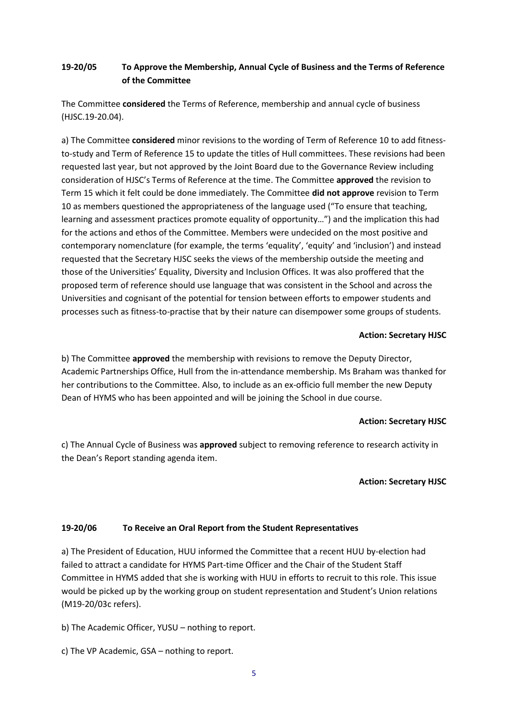# **19-20/05 To Approve the Membership, Annual Cycle of Business and the Terms of Reference of the Committee**

The Committee **considered** the Terms of Reference, membership and annual cycle of business (HJSC.19-20.04).

a) The Committee **considered** minor revisions to the wording of Term of Reference 10 to add fitnessto-study and Term of Reference 15 to update the titles of Hull committees. These revisions had been requested last year, but not approved by the Joint Board due to the Governance Review including consideration of HJSC's Terms of Reference at the time. The Committee **approved** the revision to Term 15 which it felt could be done immediately. The Committee **did not approve** revision to Term 10 as members questioned the appropriateness of the language used ("To ensure that teaching, learning and assessment practices promote equality of opportunity…") and the implication this had for the actions and ethos of the Committee. Members were undecided on the most positive and contemporary nomenclature (for example, the terms 'equality', 'equity' and 'inclusion') and instead requested that the Secretary HJSC seeks the views of the membership outside the meeting and those of the Universities' Equality, Diversity and Inclusion Offices. It was also proffered that the proposed term of reference should use language that was consistent in the School and across the Universities and cognisant of the potential for tension between efforts to empower students and processes such as fitness-to-practise that by their nature can disempower some groups of students.

## **Action: Secretary HJSC**

b) The Committee **approved** the membership with revisions to remove the Deputy Director, Academic Partnerships Office, Hull from the in-attendance membership. Ms Braham was thanked for her contributions to the Committee. Also, to include as an ex-officio full member the new Deputy Dean of HYMS who has been appointed and will be joining the School in due course.

# **Action: Secretary HJSC**

c) The Annual Cycle of Business was **approved** subject to removing reference to research activity in the Dean's Report standing agenda item.

# **Action: Secretary HJSC**

# **19-20/06 To Receive an Oral Report from the Student Representatives**

a) The President of Education, HUU informed the Committee that a recent HUU by-election had failed to attract a candidate for HYMS Part-time Officer and the Chair of the Student Staff Committee in HYMS added that she is working with HUU in efforts to recruit to this role. This issue would be picked up by the working group on student representation and Student's Union relations (M19-20/03c refers).

b) The Academic Officer, YUSU – nothing to report.

c) The VP Academic, GSA – nothing to report.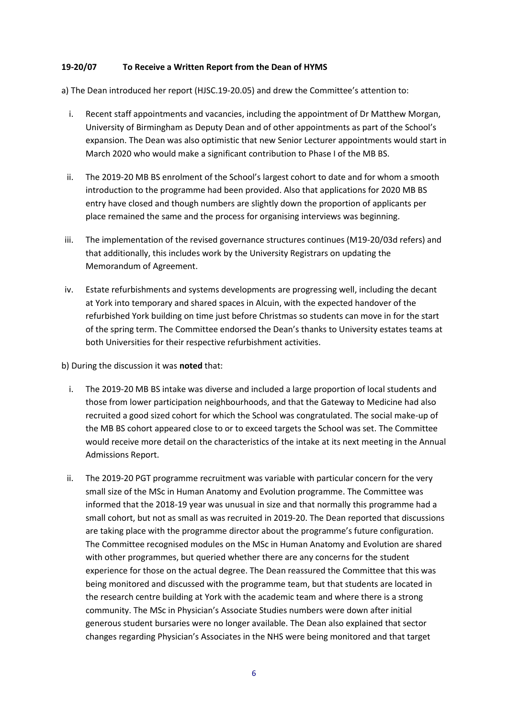## **19-20/07 To Receive a Written Report from the Dean of HYMS**

a) The Dean introduced her report (HJSC.19-20.05) and drew the Committee's attention to:

- i. Recent staff appointments and vacancies, including the appointment of Dr Matthew Morgan, University of Birmingham as Deputy Dean and of other appointments as part of the School's expansion. The Dean was also optimistic that new Senior Lecturer appointments would start in March 2020 who would make a significant contribution to Phase I of the MB BS.
- ii. The 2019-20 MB BS enrolment of the School's largest cohort to date and for whom a smooth introduction to the programme had been provided. Also that applications for 2020 MB BS entry have closed and though numbers are slightly down the proportion of applicants per place remained the same and the process for organising interviews was beginning.
- iii. The implementation of the revised governance structures continues (M19-20/03d refers) and that additionally, this includes work by the University Registrars on updating the Memorandum of Agreement.
- iv. Estate refurbishments and systems developments are progressing well, including the decant at York into temporary and shared spaces in Alcuin, with the expected handover of the refurbished York building on time just before Christmas so students can move in for the start of the spring term. The Committee endorsed the Dean's thanks to University estates teams at both Universities for their respective refurbishment activities.

b) During the discussion it was **noted** that:

- i. The 2019-20 MB BS intake was diverse and included a large proportion of local students and those from lower participation neighbourhoods, and that the Gateway to Medicine had also recruited a good sized cohort for which the School was congratulated. The social make-up of the MB BS cohort appeared close to or to exceed targets the School was set. The Committee would receive more detail on the characteristics of the intake at its next meeting in the Annual Admissions Report.
- ii. The 2019-20 PGT programme recruitment was variable with particular concern for the very small size of the MSc in Human Anatomy and Evolution programme. The Committee was informed that the 2018-19 year was unusual in size and that normally this programme had a small cohort, but not as small as was recruited in 2019-20. The Dean reported that discussions are taking place with the programme director about the programme's future configuration. The Committee recognised modules on the MSc in Human Anatomy and Evolution are shared with other programmes, but queried whether there are any concerns for the student experience for those on the actual degree. The Dean reassured the Committee that this was being monitored and discussed with the programme team, but that students are located in the research centre building at York with the academic team and where there is a strong community. The MSc in Physician's Associate Studies numbers were down after initial generous student bursaries were no longer available. The Dean also explained that sector changes regarding Physician's Associates in the NHS were being monitored and that target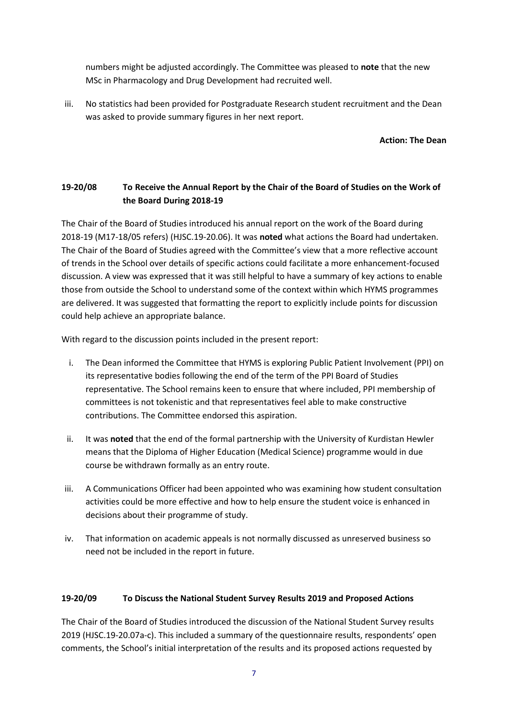numbers might be adjusted accordingly. The Committee was pleased to **note** that the new MSc in Pharmacology and Drug Development had recruited well.

iii. No statistics had been provided for Postgraduate Research student recruitment and the Dean was asked to provide summary figures in her next report.

**Action: The Dean**

# **19-20/08 To Receive the Annual Report by the Chair of the Board of Studies on the Work of the Board During 2018-19**

The Chair of the Board of Studies introduced his annual report on the work of the Board during 2018-19 (M17-18/05 refers) (HJSC.19-20.06). It was **noted** what actions the Board had undertaken. The Chair of the Board of Studies agreed with the Committee's view that a more reflective account of trends in the School over details of specific actions could facilitate a more enhancement-focused discussion. A view was expressed that it was still helpful to have a summary of key actions to enable those from outside the School to understand some of the context within which HYMS programmes are delivered. It was suggested that formatting the report to explicitly include points for discussion could help achieve an appropriate balance.

With regard to the discussion points included in the present report:

- i. The Dean informed the Committee that HYMS is exploring Public Patient Involvement (PPI) on its representative bodies following the end of the term of the PPI Board of Studies representative. The School remains keen to ensure that where included, PPI membership of committees is not tokenistic and that representatives feel able to make constructive contributions. The Committee endorsed this aspiration.
- ii. It was **noted** that the end of the formal partnership with the University of Kurdistan Hewler means that the Diploma of Higher Education (Medical Science) programme would in due course be withdrawn formally as an entry route.
- iii. A Communications Officer had been appointed who was examining how student consultation activities could be more effective and how to help ensure the student voice is enhanced in decisions about their programme of study.
- iv. That information on academic appeals is not normally discussed as unreserved business so need not be included in the report in future.

# **19-20/09 To Discuss the National Student Survey Results 2019 and Proposed Actions**

The Chair of the Board of Studies introduced the discussion of the National Student Survey results 2019 (HJSC.19-20.07a-c). This included a summary of the questionnaire results, respondents' open comments, the School's initial interpretation of the results and its proposed actions requested by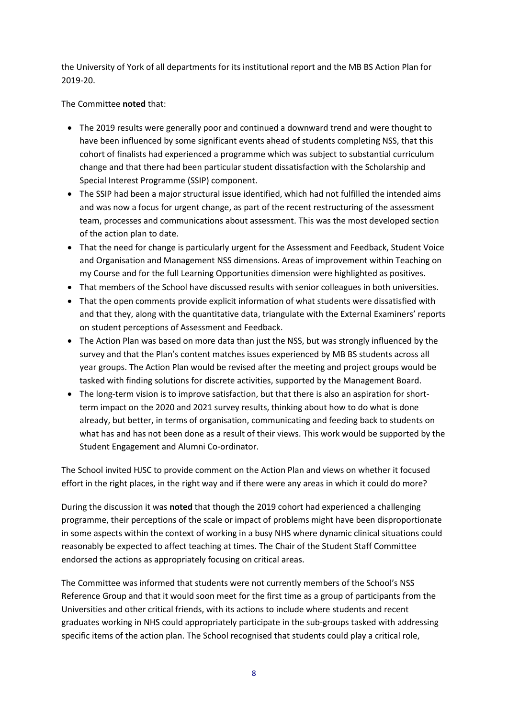the University of York of all departments for its institutional report and the MB BS Action Plan for 2019-20.

# The Committee **noted** that:

- The 2019 results were generally poor and continued a downward trend and were thought to have been influenced by some significant events ahead of students completing NSS, that this cohort of finalists had experienced a programme which was subject to substantial curriculum change and that there had been particular student dissatisfaction with the Scholarship and Special Interest Programme (SSIP) component.
- The SSIP had been a major structural issue identified, which had not fulfilled the intended aims and was now a focus for urgent change, as part of the recent restructuring of the assessment team, processes and communications about assessment. This was the most developed section of the action plan to date.
- That the need for change is particularly urgent for the Assessment and Feedback, Student Voice and Organisation and Management NSS dimensions. Areas of improvement within Teaching on my Course and for the full Learning Opportunities dimension were highlighted as positives.
- That members of the School have discussed results with senior colleagues in both universities.
- That the open comments provide explicit information of what students were dissatisfied with and that they, along with the quantitative data, triangulate with the External Examiners' reports on student perceptions of Assessment and Feedback.
- The Action Plan was based on more data than just the NSS, but was strongly influenced by the survey and that the Plan's content matches issues experienced by MB BS students across all year groups. The Action Plan would be revised after the meeting and project groups would be tasked with finding solutions for discrete activities, supported by the Management Board.
- The long-term vision is to improve satisfaction, but that there is also an aspiration for shortterm impact on the 2020 and 2021 survey results, thinking about how to do what is done already, but better, in terms of organisation, communicating and feeding back to students on what has and has not been done as a result of their views. This work would be supported by the Student Engagement and Alumni Co-ordinator.

The School invited HJSC to provide comment on the Action Plan and views on whether it focused effort in the right places, in the right way and if there were any areas in which it could do more?

During the discussion it was **noted** that though the 2019 cohort had experienced a challenging programme, their perceptions of the scale or impact of problems might have been disproportionate in some aspects within the context of working in a busy NHS where dynamic clinical situations could reasonably be expected to affect teaching at times. The Chair of the Student Staff Committee endorsed the actions as appropriately focusing on critical areas.

The Committee was informed that students were not currently members of the School's NSS Reference Group and that it would soon meet for the first time as a group of participants from the Universities and other critical friends, with its actions to include where students and recent graduates working in NHS could appropriately participate in the sub-groups tasked with addressing specific items of the action plan. The School recognised that students could play a critical role,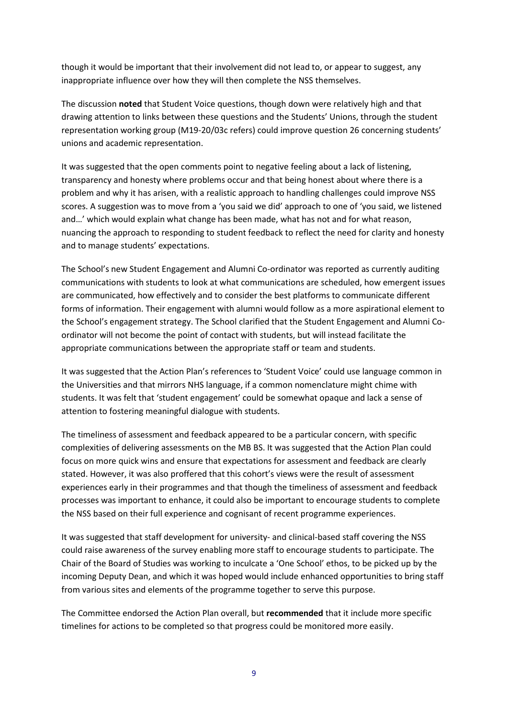though it would be important that their involvement did not lead to, or appear to suggest, any inappropriate influence over how they will then complete the NSS themselves.

The discussion **noted** that Student Voice questions, though down were relatively high and that drawing attention to links between these questions and the Students' Unions, through the student representation working group (M19-20/03c refers) could improve question 26 concerning students' unions and academic representation.

It was suggested that the open comments point to negative feeling about a lack of listening, transparency and honesty where problems occur and that being honest about where there is a problem and why it has arisen, with a realistic approach to handling challenges could improve NSS scores. A suggestion was to move from a 'you said we did' approach to one of 'you said, we listened and…' which would explain what change has been made, what has not and for what reason, nuancing the approach to responding to student feedback to reflect the need for clarity and honesty and to manage students' expectations.

The School's new Student Engagement and Alumni Co-ordinator was reported as currently auditing communications with students to look at what communications are scheduled, how emergent issues are communicated, how effectively and to consider the best platforms to communicate different forms of information. Their engagement with alumni would follow as a more aspirational element to the School's engagement strategy. The School clarified that the Student Engagement and Alumni Coordinator will not become the point of contact with students, but will instead facilitate the appropriate communications between the appropriate staff or team and students.

It was suggested that the Action Plan's references to 'Student Voice' could use language common in the Universities and that mirrors NHS language, if a common nomenclature might chime with students. It was felt that 'student engagement' could be somewhat opaque and lack a sense of attention to fostering meaningful dialogue with students.

The timeliness of assessment and feedback appeared to be a particular concern, with specific complexities of delivering assessments on the MB BS. It was suggested that the Action Plan could focus on more quick wins and ensure that expectations for assessment and feedback are clearly stated. However, it was also proffered that this cohort's views were the result of assessment experiences early in their programmes and that though the timeliness of assessment and feedback processes was important to enhance, it could also be important to encourage students to complete the NSS based on their full experience and cognisant of recent programme experiences.

It was suggested that staff development for university- and clinical-based staff covering the NSS could raise awareness of the survey enabling more staff to encourage students to participate. The Chair of the Board of Studies was working to inculcate a 'One School' ethos, to be picked up by the incoming Deputy Dean, and which it was hoped would include enhanced opportunities to bring staff from various sites and elements of the programme together to serve this purpose.

The Committee endorsed the Action Plan overall, but **recommended** that it include more specific timelines for actions to be completed so that progress could be monitored more easily.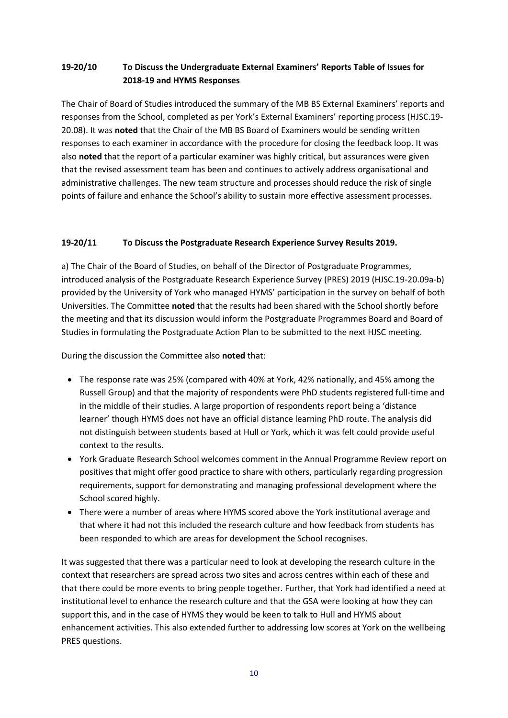# **19-20/10 To Discuss the Undergraduate External Examiners' Reports Table of Issues for 2018-19 and HYMS Responses**

The Chair of Board of Studies introduced the summary of the MB BS External Examiners' reports and responses from the School, completed as per York's External Examiners' reporting process (HJSC.19- 20.08). It was **noted** that the Chair of the MB BS Board of Examiners would be sending written responses to each examiner in accordance with the procedure for closing the feedback loop. It was also **noted** that the report of a particular examiner was highly critical, but assurances were given that the revised assessment team has been and continues to actively address organisational and administrative challenges. The new team structure and processes should reduce the risk of single points of failure and enhance the School's ability to sustain more effective assessment processes.

# **19-20/11 To Discuss the Postgraduate Research Experience Survey Results 2019.**

a) The Chair of the Board of Studies, on behalf of the Director of Postgraduate Programmes, introduced analysis of the Postgraduate Research Experience Survey (PRES) 2019 (HJSC.19-20.09a-b) provided by the University of York who managed HYMS' participation in the survey on behalf of both Universities. The Committee **noted** that the results had been shared with the School shortly before the meeting and that its discussion would inform the Postgraduate Programmes Board and Board of Studies in formulating the Postgraduate Action Plan to be submitted to the next HJSC meeting.

During the discussion the Committee also **noted** that:

- The response rate was 25% (compared with 40% at York, 42% nationally, and 45% among the Russell Group) and that the majority of respondents were PhD students registered full-time and in the middle of their studies. A large proportion of respondents report being a 'distance learner' though HYMS does not have an official distance learning PhD route. The analysis did not distinguish between students based at Hull or York, which it was felt could provide useful context to the results.
- York Graduate Research School welcomes comment in the Annual Programme Review report on positives that might offer good practice to share with others, particularly regarding progression requirements, support for demonstrating and managing professional development where the School scored highly.
- There were a number of areas where HYMS scored above the York institutional average and that where it had not this included the research culture and how feedback from students has been responded to which are areas for development the School recognises.

It was suggested that there was a particular need to look at developing the research culture in the context that researchers are spread across two sites and across centres within each of these and that there could be more events to bring people together. Further, that York had identified a need at institutional level to enhance the research culture and that the GSA were looking at how they can support this, and in the case of HYMS they would be keen to talk to Hull and HYMS about enhancement activities. This also extended further to addressing low scores at York on the wellbeing PRES questions.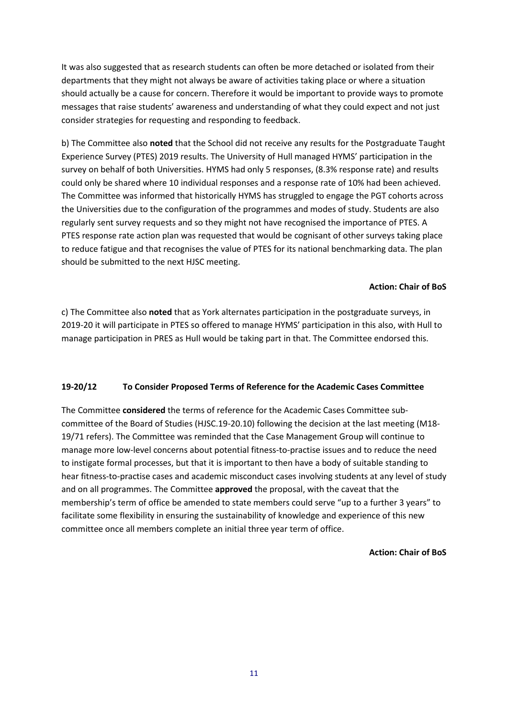It was also suggested that as research students can often be more detached or isolated from their departments that they might not always be aware of activities taking place or where a situation should actually be a cause for concern. Therefore it would be important to provide ways to promote messages that raise students' awareness and understanding of what they could expect and not just consider strategies for requesting and responding to feedback.

b) The Committee also **noted** that the School did not receive any results for the Postgraduate Taught Experience Survey (PTES) 2019 results. The University of Hull managed HYMS' participation in the survey on behalf of both Universities. HYMS had only 5 responses, (8.3% response rate) and results could only be shared where 10 individual responses and a response rate of 10% had been achieved. The Committee was informed that historically HYMS has struggled to engage the PGT cohorts across the Universities due to the configuration of the programmes and modes of study. Students are also regularly sent survey requests and so they might not have recognised the importance of PTES. A PTES response rate action plan was requested that would be cognisant of other surveys taking place to reduce fatigue and that recognises the value of PTES for its national benchmarking data. The plan should be submitted to the next HJSC meeting.

#### **Action: Chair of BoS**

c) The Committee also **noted** that as York alternates participation in the postgraduate surveys, in 2019-20 it will participate in PTES so offered to manage HYMS' participation in this also, with Hull to manage participation in PRES as Hull would be taking part in that. The Committee endorsed this.

## **19-20/12 To Consider Proposed Terms of Reference for the Academic Cases Committee**

The Committee **considered** the terms of reference for the Academic Cases Committee subcommittee of the Board of Studies (HJSC.19-20.10) following the decision at the last meeting (M18- 19/71 refers). The Committee was reminded that the Case Management Group will continue to manage more low-level concerns about potential fitness-to-practise issues and to reduce the need to instigate formal processes, but that it is important to then have a body of suitable standing to hear fitness-to-practise cases and academic misconduct cases involving students at any level of study and on all programmes. The Committee **approved** the proposal, with the caveat that the membership's term of office be amended to state members could serve "up to a further 3 years" to facilitate some flexibility in ensuring the sustainability of knowledge and experience of this new committee once all members complete an initial three year term of office.

#### **Action: Chair of BoS**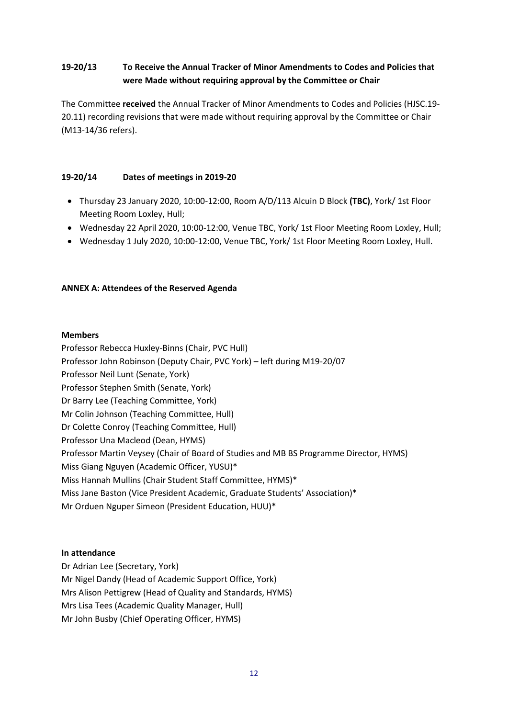# **19-20/13 To Receive the Annual Tracker of Minor Amendments to Codes and Policies that were Made without requiring approval by the Committee or Chair**

The Committee **received** the Annual Tracker of Minor Amendments to Codes and Policies (HJSC.19- 20.11) recording revisions that were made without requiring approval by the Committee or Chair (M13-14/36 refers).

# **19-20/14 Dates of meetings in 2019-20**

- Thursday 23 January 2020, 10:00-12:00, Room A/D/113 Alcuin D Block **(TBC)**, York/ 1st Floor Meeting Room Loxley, Hull;
- Wednesday 22 April 2020, 10:00-12:00, Venue TBC, York/ 1st Floor Meeting Room Loxley, Hull;
- Wednesday 1 July 2020, 10:00-12:00, Venue TBC, York/ 1st Floor Meeting Room Loxley, Hull.

## **ANNEX A: Attendees of the Reserved Agenda**

## **Members**

Professor Rebecca Huxley-Binns (Chair, PVC Hull) Professor John Robinson (Deputy Chair, PVC York) – left during M19-20/07 Professor Neil Lunt (Senate, York) Professor Stephen Smith (Senate, York) Dr Barry Lee (Teaching Committee, York) Mr Colin Johnson (Teaching Committee, Hull) Dr Colette Conroy (Teaching Committee, Hull) Professor Una Macleod (Dean, HYMS) Professor Martin Veysey (Chair of Board of Studies and MB BS Programme Director, HYMS) Miss Giang Nguyen (Academic Officer, YUSU)\* Miss Hannah Mullins (Chair Student Staff Committee, HYMS)\* Miss Jane Baston (Vice President Academic, Graduate Students' Association)\* Mr Orduen Nguper Simeon (President Education, HUU)\*

## **In attendance**

Dr Adrian Lee (Secretary, York) Mr Nigel Dandy (Head of Academic Support Office, York) Mrs Alison Pettigrew (Head of Quality and Standards, HYMS) Mrs Lisa Tees (Academic Quality Manager, Hull) Mr John Busby (Chief Operating Officer, HYMS)